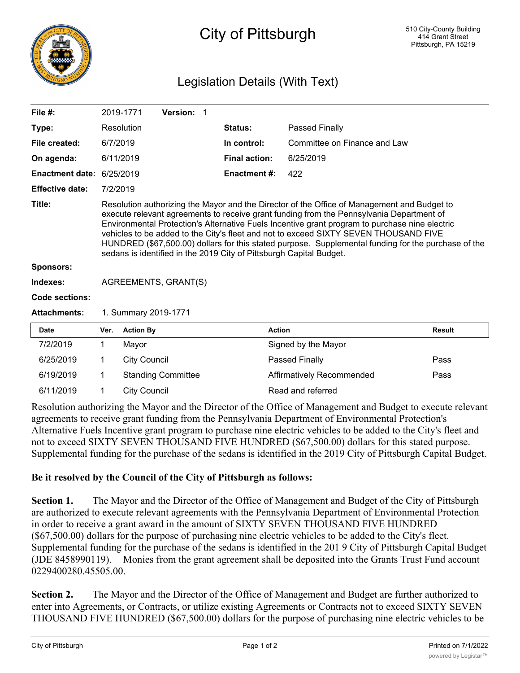

## City of Pittsburgh

## Legislation Details (With Text)

| 2019-1771                                                                                                                                                                                                                                                                                                                                                                                                                                                        | Version: 1 |                                                                                             |                              |                                                                                                                                                                                                         |
|------------------------------------------------------------------------------------------------------------------------------------------------------------------------------------------------------------------------------------------------------------------------------------------------------------------------------------------------------------------------------------------------------------------------------------------------------------------|------------|---------------------------------------------------------------------------------------------|------------------------------|---------------------------------------------------------------------------------------------------------------------------------------------------------------------------------------------------------|
| Resolution                                                                                                                                                                                                                                                                                                                                                                                                                                                       |            | <b>Status:</b>                                                                              | Passed Finally               |                                                                                                                                                                                                         |
| 6/7/2019                                                                                                                                                                                                                                                                                                                                                                                                                                                         |            | In control:                                                                                 | Committee on Finance and Law |                                                                                                                                                                                                         |
| 6/11/2019                                                                                                                                                                                                                                                                                                                                                                                                                                                        |            | <b>Final action:</b>                                                                        | 6/25/2019                    |                                                                                                                                                                                                         |
| 6/25/2019                                                                                                                                                                                                                                                                                                                                                                                                                                                        |            | <b>Enactment #:</b>                                                                         | 422                          |                                                                                                                                                                                                         |
| 7/2/2019                                                                                                                                                                                                                                                                                                                                                                                                                                                         |            |                                                                                             |                              |                                                                                                                                                                                                         |
| execute relevant agreements to receive grant funding from the Pennsylvania Department of<br>Environmental Protection's Alternative Fuels Incentive grant program to purchase nine electric<br>vehicles to be added to the City's fleet and not to exceed SIXTY SEVEN THOUSAND FIVE<br>HUNDRED (\$67,500.00) dollars for this stated purpose. Supplemental funding for the purchase of the<br>sedans is identified in the 2019 City of Pittsburgh Capital Budget. |            |                                                                                             |                              |                                                                                                                                                                                                         |
|                                                                                                                                                                                                                                                                                                                                                                                                                                                                  |            |                                                                                             |                              |                                                                                                                                                                                                         |
| AGREEMENTS, GRANT(S)                                                                                                                                                                                                                                                                                                                                                                                                                                             |            |                                                                                             |                              |                                                                                                                                                                                                         |
|                                                                                                                                                                                                                                                                                                                                                                                                                                                                  |            |                                                                                             |                              |                                                                                                                                                                                                         |
| 1. Summary 2019-1771                                                                                                                                                                                                                                                                                                                                                                                                                                             |            |                                                                                             |                              |                                                                                                                                                                                                         |
| Ver.                                                                                                                                                                                                                                                                                                                                                                                                                                                             |            |                                                                                             |                              | <b>Result</b>                                                                                                                                                                                           |
| 1<br>Mayor                                                                                                                                                                                                                                                                                                                                                                                                                                                       |            |                                                                                             |                              |                                                                                                                                                                                                         |
| 1.                                                                                                                                                                                                                                                                                                                                                                                                                                                               |            |                                                                                             |                              | Pass                                                                                                                                                                                                    |
| 1.                                                                                                                                                                                                                                                                                                                                                                                                                                                               |            |                                                                                             |                              | Pass                                                                                                                                                                                                    |
| 1                                                                                                                                                                                                                                                                                                                                                                                                                                                                |            |                                                                                             |                              |                                                                                                                                                                                                         |
|                                                                                                                                                                                                                                                                                                                                                                                                                                                                  |            | <b>Action By</b><br><b>City Council</b><br><b>Standing Committee</b><br><b>City Council</b> |                              | Resolution authorizing the Mayor and the Director of the Office of Management and Budget to<br><b>Action</b><br>Signed by the Mayor<br>Passed Finally<br>Affirmatively Recommended<br>Read and referred |

Resolution authorizing the Mayor and the Director of the Office of Management and Budget to execute relevant agreements to receive grant funding from the Pennsylvania Department of Environmental Protection's Alternative Fuels Incentive grant program to purchase nine electric vehicles to be added to the City's fleet and not to exceed SIXTY SEVEN THOUSAND FIVE HUNDRED (\$67,500.00) dollars for this stated purpose. Supplemental funding for the purchase of the sedans is identified in the 2019 City of Pittsburgh Capital Budget.

## **Be it resolved by the Council of the City of Pittsburgh as follows:**

**Section 1.** The Mayor and the Director of the Office of Management and Budget of the City of Pittsburgh are authorized to execute relevant agreements with the Pennsylvania Department of Environmental Protection in order to receive a grant award in the amount of SIXTY SEVEN THOUSAND FIVE HUNDRED (\$67,500.00) dollars for the purpose of purchasing nine electric vehicles to be added to the City's fleet. Supplemental funding for the purchase of the sedans is identified in the 201 9 City of Pittsburgh Capital Budget (JDE 8458990119). Monies from the grant agreement shall be deposited into the Grants Trust Fund account 0229400280.45505.00.

**Section 2.** The Mayor and the Director of the Office of Management and Budget are further authorized to enter into Agreements, or Contracts, or utilize existing Agreements or Contracts not to exceed SIXTY SEVEN THOUSAND FIVE HUNDRED (\$67,500.00) dollars for the purpose of purchasing nine electric vehicles to be